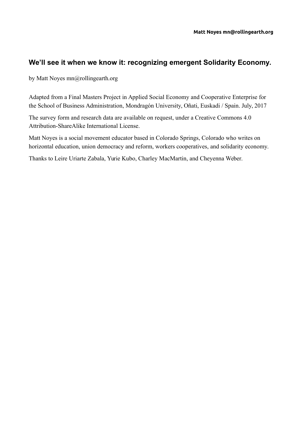# **We'll see it when we know it: recognizing emergent Solidarity Economy.**

by Matt Noyes [mn@rollingearth.org](mailto:mn@rollingearth.org)

Adapted from a Final Masters Project in Applied Social Economy and Cooperative Enterprise for the School of Business Administration, Mondragón University, Oñati, Euskadi / Spain. July, 2017

The survey form and research data are available on request, under a Creative Commons 4.0 Attribution-ShareAlike International License.

Matt Noyes is a social movement educator based in Colorado Springs, Colorado who writes on horizontal education, union democracy and reform, workers cooperatives, and solidarity economy.

Thanks to Leire Uriarte Zabala, Yurie Kubo, Charley MacMartin, and Cheyenna Weber.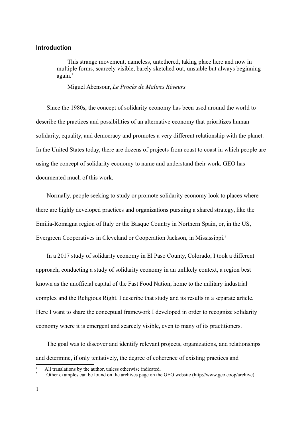## **Introduction**

This strange movement, nameless, untethered, taking place here and now in multiple forms, scarcely visible, barely sketched out, unstable but always beginning  $a\varrho$ ain.<sup>[1](#page-1-0)</sup>

Miguel Abensour, *Le Procès de Maîtres Rêveurs*

Since the 1980s, the concept of solidarity economy has been used around the world to describe the practices and possibilities of an alternative economy that prioritizes human solidarity, equality, and democracy and promotes a very different relationship with the planet. In the United States today, there are dozens of projects from coast to coast in which people are using the concept of solidarity economy to name and understand their work. GEO has documented much of this work.

Normally, people seeking to study or promote solidarity economy look to places where there are highly developed practices and organizations pursuing a shared strategy, like the Emilia-Romagna region of Italy or the Basque Country in Northern Spain, or, in the US, Evergreen Cooperatives in Cleveland or Cooperation Jackson, in Mississippi.[2](#page-1-1)

In a 2017 study of solidarity economy in El Paso County, Colorado, I took a different approach, conducting a study of solidarity economy in an unlikely context, a region best known as the unofficial capital of the Fast Food Nation, home to the military industrial complex and the Religious Right. I describe that study and its results in a separate article. Here I want to share the conceptual framework I developed in order to recognize solidarity economy where it is emergent and scarcely visible, even to many of its practitioners.

The goal was to discover and identify relevant projects, organizations, and relationships and determine, if only tentatively, the degree of coherence of existing practices and

<span id="page-1-0"></span>All translations by the author, unless otherwise indicated.

<span id="page-1-1"></span><sup>2</sup> Other examples can be found on the archives page on the GEO website (http://www.geo.coop/archive)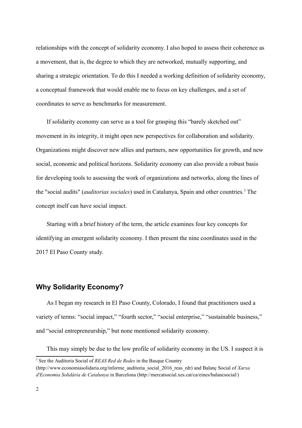relationships with the concept of solidarity economy. I also hoped to assess their coherence as a movement, that is, the degree to which they are networked, mutually supporting, and sharing a strategic orientation. To do this I needed a working definition of solidarity economy, a conceptual framework that would enable me to focus on key challenges, and a set of coordinates to serve as benchmarks for measurement.

If solidarity economy can serve as a tool for grasping this "barely sketched out" movement in its integrity, it might open new perspectives for collaboration and solidarity. Organizations might discover new allies and partners, new opportunities for growth, and new social, economic and political horizons. Solidarity economy can also provide a robust basis for developing tools to assessing the work of organizations and networks, along the lines of the "social audits" (*auditorias sociales*) used in Catalunya, Spain and other countries.<sup>[3](#page-2-0)</sup> The concept itself can have social impact.

Starting with a brief history of the term, the article examines four key concepts for identifying an emergent solidarity economy. I then present the nine coordinates used in the 2017 El Paso County study.

# **Why Solidarity Economy?**

As I began my research in El Paso County, Colorado, I found that practitioners used a variety of terms: "social impact," "fourth sector," "social enterprise," "sustainable business," and "social entrepreneurship," but none mentioned solidarity economy.

This may simply be due to the low profile of solidarity economy in the US. I suspect it is

<span id="page-2-0"></span><sup>&</sup>lt;sup>3</sup> See the Auditoria Social of *REAS Red de Redes* in the Basque Country

<sup>(</sup>http://www.economiasolidaria.org/informe\_auditoria\_social\_2016\_reas\_rdr) and Balanç Social of *Xarxa d'Economia Solidària de Catalunya* in Barcelona (http://mercatsocial.xes.cat/ca/eines/balancsocial/)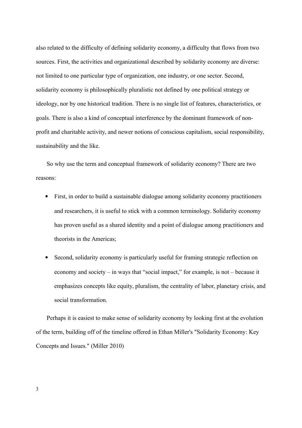also related to the difficulty of defining solidarity economy, a difficulty that flows from two sources. First, the activities and organizational described by solidarity economy are diverse: not limited to one particular type of organization, one industry, or one sector. Second, solidarity economy is philosophically pluralistic not defined by one political strategy or ideology, nor by one historical tradition. There is no single list of features, characteristics, or goals. There is also a kind of conceptual interference by the dominant framework of nonprofit and charitable activity, and newer notions of conscious capitalism, social responsibility, sustainability and the like.

So why use the term and conceptual framework of solidarity economy? There are two reasons:

- First, in order to build a sustainable dialogue among solidarity economy practitioners and researchers, it is useful to stick with a common terminology. Solidarity economy has proven useful as a shared identity and a point of dialogue among practitioners and theorists in the Americas;
- Second, solidarity economy is particularly useful for framing strategic reflection on economy and society – in ways that "social impact," for example, is not – because it emphasizes concepts like equity, pluralism, the centrality of labor, planetary crisis, and social transformation.

Perhaps it is easiest to make sense of solidarity economy by looking first at the evolution of the term, building off of the timeline offered in Ethan Miller's "Solidarity Economy: Key Concepts and Issues." (Miller 2010)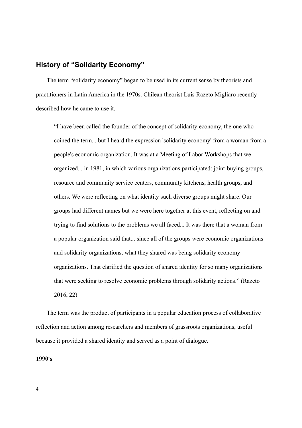# **History of "Solidarity Economy"**

The term "solidarity economy" began to be used in its current sense by theorists and practitioners in Latin America in the 1970s. Chilean theorist Luis Razeto Migliaro recently described how he came to use it.

"I have been called the founder of the concept of solidarity economy, the one who coined the term... but I heard the expression 'solidarity economy' from a woman from a people's economic organization. It was at a Meeting of Labor Workshops that we organized... in 1981, in which various organizations participated: joint-buying groups, resource and community service centers, community kitchens, health groups, and others. We were reflecting on what identity such diverse groups might share. Our groups had different names but we were here together at this event, reflecting on and trying to find solutions to the problems we all faced... It was there that a woman from a popular organization said that... since all of the groups were economic organizations and solidarity organizations, what they shared was being solidarity economy organizations. That clarified the question of shared identity for so many organizations that were seeking to resolve economic problems through solidarity actions." (Razeto 2016, 22)

The term was the product of participants in a popular education process of collaborative reflection and action among researchers and members of grassroots organizations, useful because it provided a shared identity and served as a point of dialogue.

#### **1990's**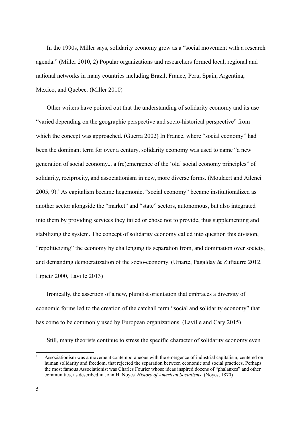In the 1990s, Miller says, solidarity economy grew as a "social movement with a research agenda." (Miller 2010, 2) Popular organizations and researchers formed local, regional and national networks in many countries including Brazil, France, Peru, Spain, Argentina, Mexico, and Quebec. (Miller 2010)

Other writers have pointed out that the understanding of solidarity economy and its use "varied depending on the geographic perspective and socio-historical perspective" from which the concept was approached. (Guerra 2002) In France, where "social economy" had been the dominant term for over a century, solidarity economy was used to name "a new generation of social economy... a (re)emergence of the 'old' social economy principles" of solidarity, reciprocity, and associationism in new, more diverse forms. (Moulaert and Ailenei 2005, 9).<sup>[4](#page-5-0)</sup> As capitalism became hegemonic, "social economy" became institutionalized as another sector alongside the "market" and "state" sectors, autonomous, but also integrated into them by providing services they failed or chose not to provide, thus supplementing and stabilizing the system. The concept of solidarity economy called into question this division, "repoliticizing" the economy by challenging its separation from, and domination over society, and demanding democratization of the socio-economy. (Uriarte, Pagalday & Zufiaurre 2012, Lipietz 2000, Laville 2013)

Ironically, the assertion of a new, pluralist orientation that embraces a diversity of economic forms led to the creation of the catchall term "social and solidarity economy" that has come to be commonly used by European organizations. (Laville and Cary 2015)

Still, many theorists continue to stress the specific character of solidarity economy even

<span id="page-5-0"></span><sup>4</sup> Associationism was a movement contemporaneous with the emergence of industrial capitalism, centered on human solidarity and freedom, that rejected the separation between economic and social practices. Perhaps the most famous Associationist was Charles Fourier whose ideas inspired dozens of "phalanxes" and other communities, as described in John H. Noyes' *History of American Socialisms*. (Noyes, 1870)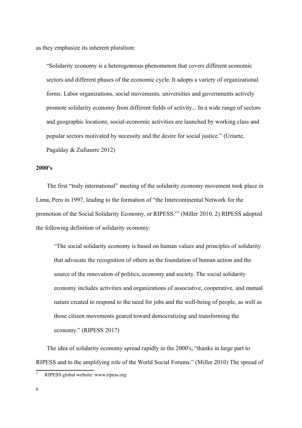as they emphasize its inherent pluralism:

"Solidarity economy is a heterogeneous phenomenon that covers different economic sectors and different phases of the economic cycle. It adopts a variety of organizational forms. Labor organizations, social movements, universities and governments actively promote solidarity economy from different fields of activity... In a wide range of sectors and geographic locations, social-economic activities are launched by working class and popular sectors motivated by necessity and the desire for social justice." (Uriarte, Pagalday & Zufiaurre 2012)

#### **2000's**

The first "truly international" meeting of the solidarity economy movement took place in Lima, Peru in 1997, leading to the formation of "the Intercontinental Network for the promotion of the Social Solidarity Economy, or RIPESS."<sup>[5](#page-6-0)</sup> (Miller 2010, 2) RIPESS adopted the following definition of solidarity economy:

"The social solidarity economy is based on human values and principles of solidarity that advocate the recognition of others as the foundation of human action and the source of the renovation of politics, economy and society. The social solidarity economy includes activities and organizations of associative, cooperative, and mutual nature created to respond to the need for jobs and the well-being of people, as well as those citizen movements geared toward democratizing and transforming the economy." (RIPESS 2017)

The idea of solidarity economy spread rapidly in the 2000's, "thanks in large part to RIPESS and to the amplifying role of the World Social Forums." (Miller 2010) The spread of

<span id="page-6-0"></span><sup>5</sup> RIPESS global website: www.ripess.org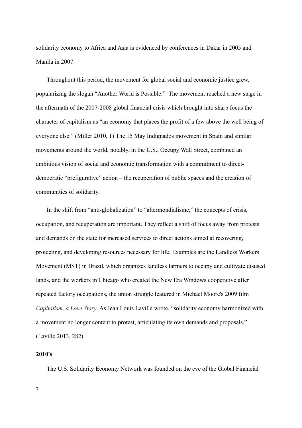solidarity economy to Africa and Asia is evidenced by conferences in Dakar in 2005 and Manila in 2007.

Throughout this period, the movement for global social and economic justice grew, popularizing the slogan "Another World is Possible." The movement reached a new stage in the aftermath of the 2007-2008 global financial crisis which brought into sharp focus the character of capitalism as "an economy that places the profit of a few above the well being of everyone else." (Miller 2010, 1) The 15 May Indignados movement in Spain and similar movements around the world, notably, in the U.S., Occupy Wall Street, combined an ambitious vision of social and economic transformation with a commitment to directdemocratic "prefigurative" action – the recuperation of public spaces and the creation of communities of solidarity.

In the shift from "anti-globalization" to "altermondialisme," the concepts of crisis, occupation, and recuperation are important. They reflect a shift of focus away from protests and demands on the state for increased services to direct actions aimed at recovering, protecting, and developing resources necessary for life. Examples are the Landless Workers Movement (MST) in Brazil, which organizes landless farmers to occupy and cultivate disused lands, and the workers in Chicago who created the New Era Windows cooperative after repeated factory occupations, the union struggle featured in Michael Moore's 2009 film *Capitalism, a Love Story*. As Jean Louis Laville wrote, "solidarity economy harmonized with a movement no longer content to protest, articulating its own demands and proposals." (Laville 2013, 282)

#### **2010's**

The U.S. Solidarity Economy Network was founded on the eve of the Global Financial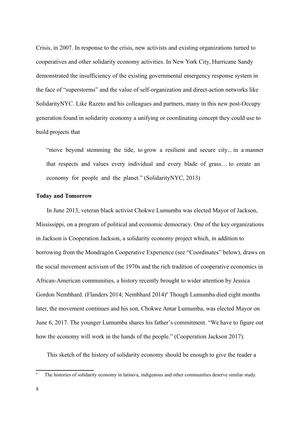Crisis, in 2007. In response to the crisis, new activists and existing organizations turned to cooperatives and other solidarity economy activities. In New York City, Hurricane Sandy demonstrated the insufficiency of the existing governmental emergency response system in the face of "superstorms" and the value of self-organization and direct-action networks like SolidarityNYC. Like Razeto and his colleagues and partners, many in this new post-Occupy generation found in solidarity economy a unifying or coordinating concept they could use to build projects that

"move beyond stemming the tide, to grow a resilient and secure city... in a manner that respects and values every individual and every blade of grass… to create an economy for people and the planet." (SolidarityNYC, 2013)

#### **Today and Tomorrow**

In June 2013, veteran black activist Chokwe Lumumba was elected Mayor of Jackson, Mississippi, on a program of political and economic democracy. One of the key organizations in Jackson is Cooperation Jackson, a solidarity economy project which, in addition to borrowing from the Mondragón Cooperative Experience (see "Coordinates" below), draws on the social movement activism of the 1970s and the rich tradition of cooperative economics in African-American communities, a history recently brought to wider attention by Jessica Gordon Nembhard. (Flanders 2014; Nembhard 2014)<sup>[6](#page-8-0)</sup> Though Lumumba died eight months later, the movement continues and his son, Chokwe Antar Lumumba, was elected Mayor on June 6, 2017. The younger Lumumba shares his father's commitment. "We have to figure out how the economy will work in the hands of the people." (Cooperation Jackson 2017).

This sketch of the history of solidarity economy should be enough to give the reader a

<span id="page-8-0"></span>The histories of solidarity economy in latino/a, indigenous and other communities deserve similar study.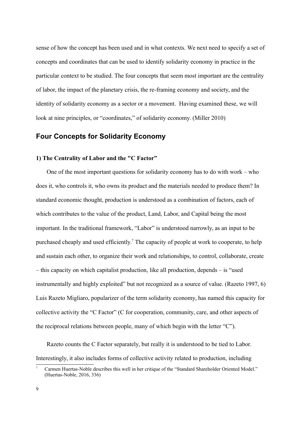sense of how the concept has been used and in what contexts. We next need to specify a set of concepts and coordinates that can be used to identify solidarity economy in practice in the particular context to be studied. The four concepts that seem most important are the centrality of labor, the impact of the planetary crisis, the re-framing economy and society, and the identity of solidarity economy as a sector or a movement. Having examined these, we will look at nine principles, or "coordinates," of solidarity economy. (Miller 2010)

## **Four Concepts for Solidarity Economy**

#### **1) The Centrality of Labor and the "C Factor"**

One of the most important questions for solidarity economy has to do with work – who does it, who controls it, who owns its product and the materials needed to produce them? In standard economic thought, production is understood as a combination of factors, each of which contributes to the value of the product, Land, Labor, and Capital being the most important. In the traditional framework, "Labor" is understood narrowly, as an input to be purchased cheaply and used efficiently.<sup>[7](#page-9-0)</sup> The capacity of people at work to cooperate, to help and sustain each other, to organize their work and relationships, to control, collaborate, create – this capacity on which capitalist production, like all production, depends – is "used instrumentally and highly exploited" but not recognized as a source of value. (Razeto 1997, 6) Luis Razeto Migliaro, popularizer of the term solidarity economy, has named this capacity for collective activity the "C Factor" (C for cooperation, community, care, and other aspects of the reciprocal relations between people, many of which begin with the letter "C").

Razeto counts the C Factor separately, but really it is understood to be tied to Labor. Interestingly, it also includes forms of collective activity related to production, including

<span id="page-9-0"></span><sup>7</sup> Carmen Huertas-Noble describes this well in her critique of the "Standard Shareholder Oriented Model." (Huertas-Noble, 2016, 336)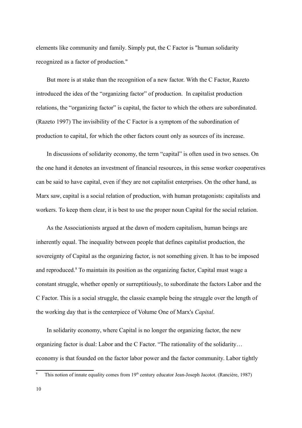elements like community and family. Simply put, the C Factor is "human solidarity recognized as a factor of production."

But more is at stake than the recognition of a new factor. With the C Factor, Razeto introduced the idea of the "organizing factor" of production. In capitalist production relations, the "organizing factor" is capital, the factor to which the others are subordinated. (Razeto 1997) The invisibility of the C Factor is a symptom of the subordination of production to capital, for which the other factors count only as sources of its increase.

In discussions of solidarity economy, the term "capital" is often used in two senses. On the one hand it denotes an investment of financial resources, in this sense worker cooperatives can be said to have capital, even if they are not capitalist enterprises. On the other hand, as Marx saw, capital is a social relation of production, with human protagonists: capitalists and workers. To keep them clear, it is best to use the proper noun Capital for the social relation.

As the Associationists argued at the dawn of modern capitalism, human beings are inherently equal. The inequality between people that defines capitalist production, the sovereignty of Capital as the organizing factor, is not something given. It has to be imposed and reproduced.<sup>[8](#page-10-0)</sup> To maintain its position as the organizing factor, Capital must wage a constant struggle, whether openly or surreptitiously, to subordinate the factors Labor and the C Factor. This is a social struggle, the classic example being the struggle over the length of the working day that is the centerpiece of Volume One of Marx's *Capital*.

In solidarity economy, where Capital is no longer the organizing factor, the new organizing factor is dual: Labor and the C Factor. "The rationality of the solidarity… economy is that founded on the factor labor power and the factor community. Labor tightly

<span id="page-10-0"></span>This notion of innate equality comes from 19<sup>th</sup> century educator Jean-Joseph Jacotot. (Rancière, 1987)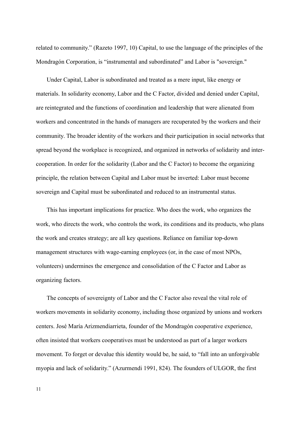related to community." (Razeto 1997, 10) Capital, to use the language of the principles of the Mondragón Corporation, is "instrumental and subordinated" and Labor is "sovereign."

Under Capital, Labor is subordinated and treated as a mere input, like energy or materials. In solidarity economy, Labor and the C Factor, divided and denied under Capital, are reintegrated and the functions of coordination and leadership that were alienated from workers and concentrated in the hands of managers are recuperated by the workers and their community. The broader identity of the workers and their participation in social networks that spread beyond the workplace is recognized, and organized in networks of solidarity and intercooperation. In order for the solidarity (Labor and the C Factor) to become the organizing principle, the relation between Capital and Labor must be inverted: Labor must become sovereign and Capital must be subordinated and reduced to an instrumental status.

This has important implications for practice. Who does the work, who organizes the work, who directs the work, who controls the work, its conditions and its products, who plans the work and creates strategy; are all key questions. Reliance on familiar top-down management structures with wage-earning employees (or, in the case of most NPOs, volunteers) undermines the emergence and consolidation of the C Factor and Labor as organizing factors.

The concepts of sovereignty of Labor and the C Factor also reveal the vital role of workers movements in solidarity economy, including those organized by unions and workers centers. José María Arizmendiarrieta, founder of the Mondragón cooperative experience, often insisted that workers cooperatives must be understood as part of a larger workers movement. To forget or devalue this identity would be, he said, to "fall into an unforgivable myopia and lack of solidarity." (Azurmendi 1991, 824). The founders of ULGOR, the first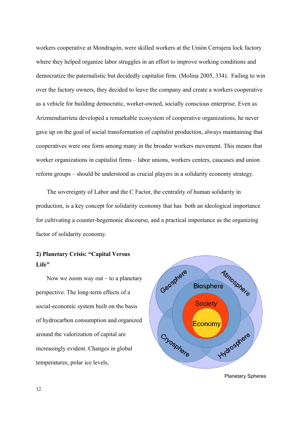workers cooperative at Mondragón, were skilled workers at the Unión Cerrajera lock factory where they helped organize labor struggles in an effort to improve working conditions and democratize the paternalistic but decidedly capitalist firm. (Molina 2005, 334). Failing to win over the factory owners, they decided to leave the company and create a workers cooperative as a vehicle for building democratic, worker-owned, socially conscious enterprise. Even as Arizmendiarrieta developed a remarkable ecosystem of cooperative organizations, he never gave up on the goal of social transformation of capitalist production, always maintaining that cooperatives were one form among many in the broader workers movement. This means that worker organizations in capitalist firms – labor unions, workers centers, caucuses and union reform groups – should be understood as crucial players in a solidarity economy strategy.

The sovereignty of Labor and the C Factor, the centrality of human solidarity in production, is a key concept for solidarity economy that has both an ideological importance for cultivating a counter-hegemonic discourse, and a practical importance as the organizing factor of solidarity economy.

# **2) Planetary Crisis: "Capital Versus** Life"

Now we zoom way out  $-$  to a planetary perspective. The long-term effects of a social-economic system built on the basis of hydrocarbon consumption and organized around the valorization of capital are increasingly evident. Changes in global temperatures, polar ice levels,

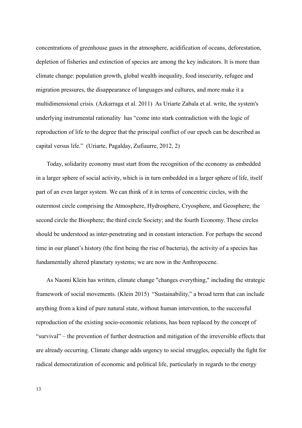concentrations of greenhouse gases in the atmosphere, acidification of oceans, deforestation, depletion of fisheries and extinction of species are among the key indicators. It is more than climate change: population growth, global wealth inequality, food insecurity, refugee and migration pressures, the disappearance of languages and cultures, and more make it a multidimensional crisis. (Azkarraga et al. 2011) As Uriarte Zabala et al. write, the system's underlying instrumental rationality has "come into stark contradiction with the logic of reproduction of life to the degree that the principal conflict of our epoch can be described as capital versus life." (Uriarte, Pagalday, Zufiaurre, 2012, 2)

Today, solidarity economy must start from the recognition of the economy as embedded in a larger sphere of social activity, which is in turn embedded in a larger sphere of life, itself part of an even larger system. We can think of it in terms of concentric circles, with the outermost circle comprising the Atmosphere, Hydrosphere, Cryosphere, and Geosphere; the second circle the Biosphere; the third circle Society; and the fourth Economy. These circles should be understood as inter-penetrating and in constant interaction. For perhaps the second time in our planet's history (the first being the rise of bacteria), the activity of a species has fundamentally altered planetary systems; we are now in the Anthropocene.

As Naomi Klein has written, climate change "changes everything," including the strategic framework of social movements. (Klein 2015) "Sustainability," a broad term that can include anything from a kind of pure natural state, without human intervention, to the successful reproduction of the existing socio-economic relations, has been replaced by the concept of "survival" – the prevention of further destruction and mitigation of the irreversible effects that are already occurring. Climate change adds urgency to social struggles, especially the fight for radical democratization of economic and political life, particularly in regards to the energy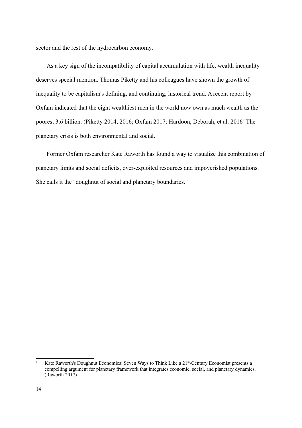sector and the rest of the hydrocarbon economy.

As a key sign of the incompatibility of capital accumulation with life, wealth inequality deserves special mention. Thomas Piketty and his colleagues have shown the growth of inequality to be capitalism's defining, and continuing, historical trend. A recent report by Oxfam indicated that the eight wealthiest men in the world now own as much wealth as the poorest 3.6 billion. (Piketty 2014, 2016; Oxfam 2017; Hardoon, Deborah, et al. 2016<sup>[9](#page-14-0)</sup> The planetary crisis is both environmental and social.

Former Oxfam researcher Kate Raworth has found a way to visualize this combination of planetary limits and social deficits, over-exploited resources and impoverished populations. She calls it the "doughnut of social and planetary boundaries."

<span id="page-14-0"></span>Kate Raworth's Doughnut Economics: Seven Ways to Think Like a 21<sup>st</sup>-Century Economist presents a compelling argument for planetary framework that integrates economic, social, and planetary dynamics. (Raworth 2017)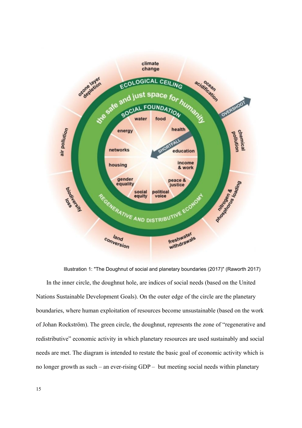

In the inner circle, the doughnut hole, are indices of social needs (based on the United Nations Sustainable Development Goals). On the outer edge of the circle are the planetary boundaries, where human exploitation of resources become unsustainable (based on the work of Johan Rockström). The green circle, the doughnut, represents the zone of "regenerative and redistributive" economic activity in which planetary resources are used sustainably and social needs are met. The diagram is intended to restate the basic goal of economic activity which is no longer growth as such – an ever-rising GDP – but meeting social needs within planetary Illustration 1: "The Doughnut of social and planetary boundaries (2017)" (Raworth 2017)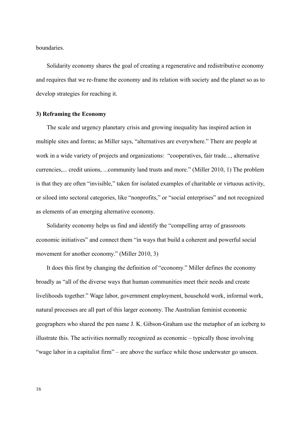boundaries.

Solidarity economy shares the goal of creating a regenerative and redistributive economy and requires that we re-frame the economy and its relation with society and the planet so as to develop strategies for reaching it.

#### **3) Reframing the Economy**

The scale and urgency planetary crisis and growing inequality has inspired action in multiple sites and forms; as Miller says, "alternatives are everywhere." There are people at work in a wide variety of projects and organizations: "cooperatives, fair trade..., alternative currencies,... credit unions, ...community land trusts and more." (Miller 2010, 1) The problem is that they are often "invisible," taken for isolated examples of charitable or virtuous activity, or siloed into sectoral categories, like "nonprofits," or "social enterprises" and not recognized as elements of an emerging alternative economy.

Solidarity economy helps us find and identify the "compelling array of grassroots economic initiatives" and connect them "in ways that build a coherent and powerful social movement for another economy." (Miller 2010, 3)

It does this first by changing the definition of "economy." Miller defines the economy broadly as "all of the diverse ways that human communities meet their needs and create livelihoods together." Wage labor, government employment, household work, informal work, natural processes are all part of this larger economy. The Australian feminist economic geographers who shared the pen name J. K. Gibson-Graham use the metaphor of an iceberg to illustrate this. The activities normally recognized as economic – typically those involving "wage labor in a capitalist firm" – are above the surface while those underwater go unseen.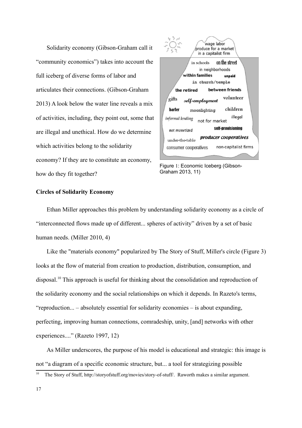Solidarity economy (Gibson-Graham call it "community economics") takes into account the full iceberg of diverse forms of labor and articulates their connections. (Gibson-Graham 2013) A look below the water line reveals a mix of activities, including, they point out, some that are illegal and unethical. How do we determine which activities belong to the solidarity economy? If they are to constitute an economy, how do they fit together?



Figure 1: Economic Iceberg (Gibson-Graham 2013, 11)

#### **Circles of Solidarity Economy**

Ethan Miller approaches this problem by understanding solidarity economy as a circle of "interconnected flows made up of different... spheres of activity" driven by a set of basic human needs. (Miller 2010, 4)

Like the "materials economy" popularized by The Story of Stuff, Miller's circle (Figure 3) looks at the flow of material from creation to production, distribution, consumption, and disposal.[10](#page-17-0) This approach is useful for thinking about the consolidation and reproduction of the solidarity economy and the social relationships on which it depends. In Razeto's terms, "reproduction... – absolutely essential for solidarity economies – is about expanding, perfecting, improving human connections, comradeship, unity, [and] networks with other experiences...." (Razeto 1997, 12)

As Miller underscores, the purpose of his model is educational and strategic: this image is not "a diagram of a specific economic structure, but... a tool for strategizing possible

<span id="page-17-0"></span><sup>&</sup>lt;sup>10</sup> The Story of Stuff, [http://storyofstuff.org/movies/story-of-stuff/.](http://storyofstuff.org/movies/story-of-stuff/) Raworth makes a similar argument.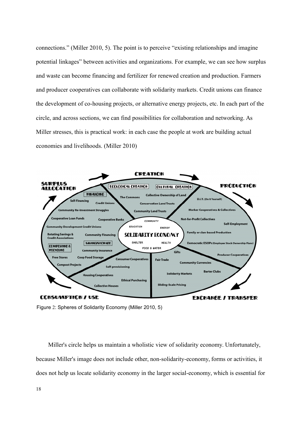connections." (Miller 2010, 5). The point is to perceive "existing relationships and imagine potential linkages" between activities and organizations. For example, we can see how surplus and waste can become financing and fertilizer for renewed creation and production. Farmers and producer cooperatives can collaborate with solidarity markets. Credit unions can finance the development of co-housing projects, or alternative energy projects, etc. In each part of the circle, and across sections, we can find possibilities for collaboration and networking. As Miller stresses, this is practical work: in each case the people at work are building actual economies and livelihoods. (Miller 2010)



Figure 2: Spheres of Solidarity Economy (Miller 2010, 5)

 Miller's circle helps us maintain a wholistic view of solidarity economy. Unfortunately, because Miller's image does not include other, non-solidarity-economy, forms or activities, it does not help us locate solidarity economy in the larger social-economy, which is essential for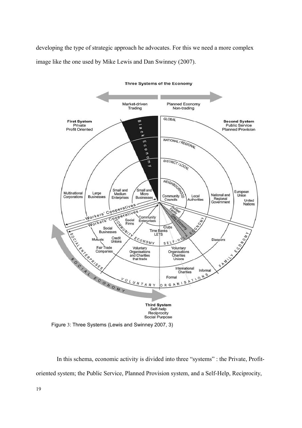developing the type of strategic approach he advocates. For this we need a more complex image like the one used by Mike Lewis and Dan Swinney (2007).



Figure 3: Three Systems (Lewis and Swinney 2007, 3)

In this schema, economic activity is divided into three "systems" : the Private, Profitoriented system; the Public Service, Planned Provision system, and a Self-Help, Reciprocity,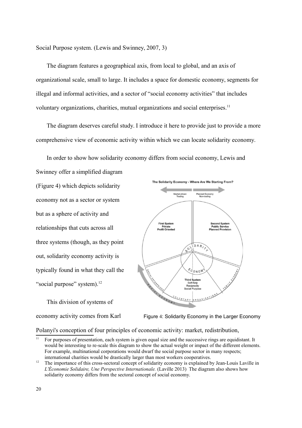Social Purpose system. (Lewis and Swinney, 2007, 3)

The diagram features a geographical axis, from local to global, and an axis of organizational scale, small to large. It includes a space for domestic economy, segments for illegal and informal activities, and a sector of "social economy activities" that includes voluntary organizations, charities, mutual organizations and social enterprises.<sup>[11](#page-20-0)</sup>

The diagram deserves careful study. I introduce it here to provide just to provide a more comprehensive view of economic activity within which we can locate solidarity economy.

In order to show how solidarity economy differs from social economy, Lewis and

Swinney offer a simplified diagram (Figure 4) which depicts solidarity economy not as a sector or system but as a sphere of activity and relationships that cuts across all three systems (though, as they point out, solidarity economy activity is typically found in what they call the "social purpose" system).<sup>[12](#page-20-1)</sup>

This division of systems of economy activity comes from Karl



Figure 4: Solidarity Economy in the Larger Economy

Polanyi's conception of four principles of economic activity: market, redistribution,

<span id="page-20-0"></span><sup>&</sup>lt;sup>11</sup> For purposes of presentation, each system is given equal size and the successive rings are equidistant. It would be interesting to re-scale this diagram to show the actual weight or impact of the different elements. For example, multinational corporations would dwarf the social purpose sector in many respects; international charities would be drastically larger than most workers cooperatives.

<span id="page-20-1"></span><sup>&</sup>lt;sup>12</sup> The importance of this cross-sectoral concept of solidarity economy is explained by Jean-Louis Laville in *L'Économie Solidaire, Une Perspective Internationale.* (Laville 2013) The diagram also shows how solidarity economy differs from the sectoral concept of social economy.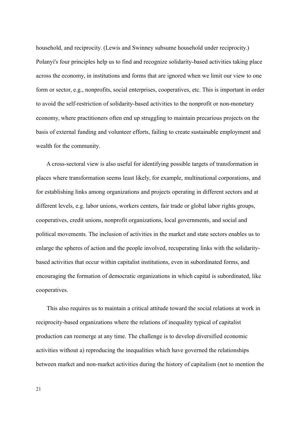household, and reciprocity. (Lewis and Swinney subsume household under reciprocity.) Polanyi's four principles help us to find and recognize solidarity-based activities taking place across the economy, in institutions and forms that are ignored when we limit our view to one form or sector, e.g., nonprofits, social enterprises, cooperatives, etc. This is important in order to avoid the self-restriction of solidarity-based activities to the nonprofit or non-monetary economy, where practitioners often end up struggling to maintain precarious projects on the basis of external funding and volunteer efforts, failing to create sustainable employment and wealth for the community.

A cross-sectoral view is also useful for identifying possible targets of transformation in places where transformation seems least likely, for example, multinational corporations, and for establishing links among organizations and projects operating in different sectors and at different levels, e.g. labor unions, workers centers, fair trade or global labor rights groups, cooperatives, credit unions, nonprofit organizations, local governments, and social and political movements. The inclusion of activities in the market and state sectors enables us to enlarge the spheres of action and the people involved, recuperating links with the solidaritybased activities that occur within capitalist institutions, even in subordinated forms, and encouraging the formation of democratic organizations in which capital is subordinated, like cooperatives.

This also requires us to maintain a critical attitude toward the social relations at work in reciprocity-based organizations where the relations of inequality typical of capitalist production can reemerge at any time. The challenge is to develop diversified economic activities without a) reproducing the inequalities which have governed the relationships between market and non-market activities during the history of capitalism (not to mention the

21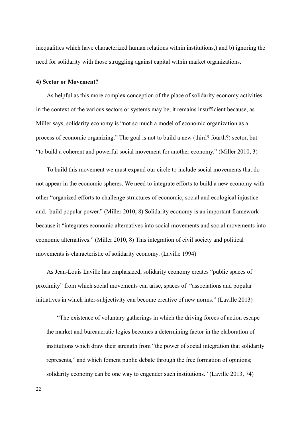inequalities which have characterized human relations within institutions,) and b) ignoring the need for solidarity with those struggling against capital within market organizations.

#### **4) Sector or Movement?**

As helpful as this more complex conception of the place of solidarity economy activities in the context of the various sectors or systems may be, it remains insufficient because, as Miller says, solidarity economy is "not so much a model of economic organization as a process of economic organizing." The goal is not to build a new (third? fourth?) sector, but "to build a coherent and powerful social movement for another economy." (Miller 2010, 3)

To build this movement we must expand our circle to include social movements that do not appear in the economic spheres. We need to integrate efforts to build a new economy with other "organized efforts to challenge structures of economic, social and ecological injustice and.. build popular power." (Miller 2010, 8) Solidarity economy is an important framework because it "integrates economic alternatives into social movements and social movements into economic alternatives." (Miller 2010, 8) This integration of civil society and political movements is characteristic of solidarity economy. (Laville 1994)

As Jean-Louis Laville has emphasized, solidarity economy creates "public spaces of proximity" from which social movements can arise, spaces of "associations and popular initiatives in which inter-subjectivity can become creative of new norms." (Laville 2013)

"The existence of voluntary gatherings in which the driving forces of action escape the market and bureaucratic logics becomes a determining factor in the elaboration of institutions which draw their strength from "the power of social integration that solidarity represents," and which foment public debate through the free formation of opinions; solidarity economy can be one way to engender such institutions." (Laville 2013, 74)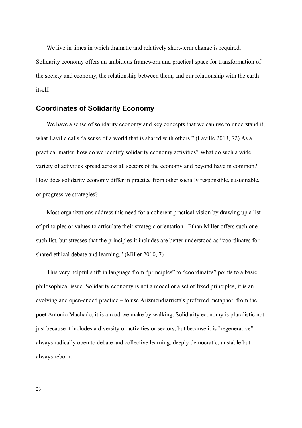We live in times in which dramatic and relatively short-term change is required. Solidarity economy offers an ambitious framework and practical space for transformation of the society and economy, the relationship between them, and our relationship with the earth itself.

### **Coordinates of Solidarity Economy**

We have a sense of solidarity economy and key concepts that we can use to understand it, what Laville calls "a sense of a world that is shared with others." (Laville 2013, 72) As a practical matter, how do we identify solidarity economy activities? What do such a wide variety of activities spread across all sectors of the economy and beyond have in common? How does solidarity economy differ in practice from other socially responsible, sustainable, or progressive strategies?

Most organizations address this need for a coherent practical vision by drawing up a list of principles or values to articulate their strategic orientation. Ethan Miller offers such one such list, but stresses that the principles it includes are better understood as "coordinates for shared ethical debate and learning." (Miller 2010, 7)

This very helpful shift in language from "principles" to "coordinates" points to a basic philosophical issue. Solidarity economy is not a model or a set of fixed principles, it is an evolving and open-ended practice – to use Arizmendiarrieta's preferred metaphor, from the poet Antonio Machado, it is a road we make by walking. Solidarity economy is pluralistic not just because it includes a diversity of activities or sectors, but because it is "regenerative" always radically open to debate and collective learning, deeply democratic, unstable but always reborn.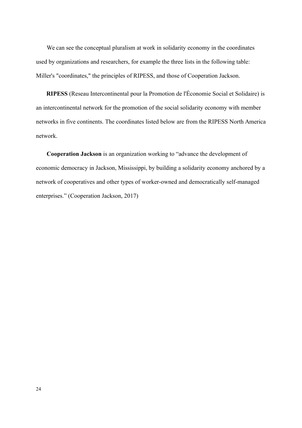We can see the conceptual pluralism at work in solidarity economy in the coordinates used by organizations and researchers, for example the three lists in the following table: Miller's "coordinates," the principles of RIPESS, and those of Cooperation Jackson.

**RIPESS** (Reseau Intercontinental pour la Promotion de l'Économie Social et Solidaire) is an intercontinental network for the promotion of the social solidarity economy with member networks in five continents. The coordinates listed below are from the RIPESS North America network.

**Cooperation Jackson** is an organization working to "advance the development of economic democracy in Jackson, Mississippi, by building a solidarity economy anchored by a network of cooperatives and other types of worker-owned and democratically self-managed enterprises." (Cooperation Jackson, 2017)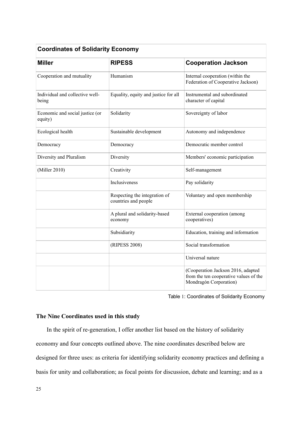| <b>Coordinates of Solidarity Economy</b>   |                                                       |                                                                                                        |
|--------------------------------------------|-------------------------------------------------------|--------------------------------------------------------------------------------------------------------|
| <b>Miller</b>                              | <b>RIPESS</b>                                         | <b>Cooperation Jackson</b>                                                                             |
| Cooperation and mutuality                  | Humanism                                              | Internal cooperation (within the<br>Federation of Cooperative Jackson)                                 |
| Individual and collective well-<br>being   | Equality, equity and justice for all                  | Instrumental and subordinated<br>character of capital                                                  |
| Economic and social justice (or<br>equity) | Solidarity                                            | Sovereignty of labor                                                                                   |
| Ecological health                          | Sustainable development                               | Autonomy and independence                                                                              |
| Democracy                                  | Democracy                                             | Democratic member control                                                                              |
| Diversity and Pluralism                    | Diversity                                             | Members' economic participation                                                                        |
| (Miller 2010)                              | Creativity                                            | Self-management                                                                                        |
|                                            | Inclusiveness                                         | Pay solidarity                                                                                         |
|                                            | Respecting the integration of<br>countries and people | Voluntary and open membership                                                                          |
|                                            | A plural and solidarity-based<br>economy              | External cooperation (among<br>cooperatives)                                                           |
|                                            | Subsidiarity                                          | Education, training and information                                                                    |
|                                            | (RIPESS 2008)                                         | Social transformation                                                                                  |
|                                            |                                                       | Universal nature                                                                                       |
|                                            |                                                       | (Cooperation Jackson 2016, adapted<br>from the ten cooperative values of the<br>Mondragón Corporation) |

Table 1: Coordinates of Solidarity Economy

## **The Nine Coordinates used in this study**

In the spirit of re-generation, I offer another list based on the history of solidarity economy and four concepts outlined above. The nine coordinates described below are designed for three uses: as criteria for identifying solidarity economy practices and defining a basis for unity and collaboration; as focal points for discussion, debate and learning; and as a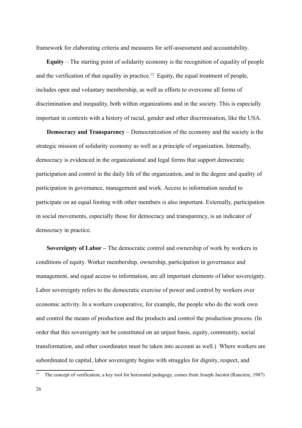framework for elaborating criteria and measures for self-assessment and accountability.

**Equity** – The starting point of solidarity economy is the recognition of equality of people and the verification of that equality in practice.<sup>[13](#page-26-0)</sup> Equity, the equal treatment of people, includes open and voluntary membership, as well as efforts to overcome all forms of discrimination and inequality, both within organizations and in the society. This is especially important in contexts with a history of racial, gender and other discrimination, like the USA.

**Democracy and Transparency** – Democratization of the economy and the society is the strategic mission of solidarity economy as well as a principle of organization. Internally, democracy is evidenced in the organizational and legal forms that support democratic participation and control in the daily life of the organization, and in the degree and quality of participation in governance, management and work. Access to information needed to participate on an equal footing with other members is also important. Externally, participation in social movements, especially those for democracy and transparency, is an indicator of democracy in practice.

**Sovereignty of Labor –** The democratic control and ownership of work by workers in conditions of equity. Worker membership, ownership, participation in governance and management, and equal access to information, are all important elements of labor sovereignty. Labor sovereignty refers to the democratic exercise of power and control by workers over economic activity. In a workers cooperative, for example, the people who do the work own and control the means of production and the products and control the production process. (In order that this sovereignty not be constituted on an unjust basis, equity, community, social transformation, and other coordinates must be taken into account as well.) Where workers are subordinated to capital, labor sovereignty begins with struggles for dignity, respect, and

<span id="page-26-0"></span><sup>&</sup>lt;sup>13</sup> The concept of verification, a key tool for horizontal pedagogy, comes from Joseph Jacotot (Rancière, 1987)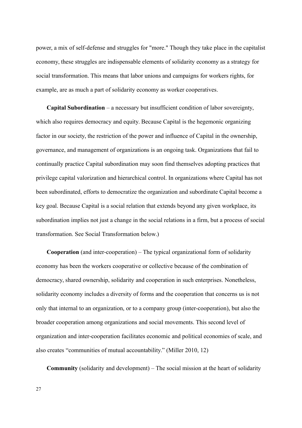power, a mix of self-defense and struggles for "more." Though they take place in the capitalist economy, these struggles are indispensable elements of solidarity economy as a strategy for social transformation. This means that labor unions and campaigns for workers rights, for example, are as much a part of solidarity economy as worker cooperatives.

**Capital Subordination** – a necessary but insufficient condition of labor sovereignty, which also requires democracy and equity. Because Capital is the hegemonic organizing factor in our society, the restriction of the power and influence of Capital in the ownership, governance, and management of organizations is an ongoing task. Organizations that fail to continually practice Capital subordination may soon find themselves adopting practices that privilege capital valorization and hierarchical control. In organizations where Capital has not been subordinated, efforts to democratize the organization and subordinate Capital become a key goal. Because Capital is a social relation that extends beyond any given workplace, its subordination implies not just a change in the social relations in a firm, but a process of social transformation. See Social Transformation below.)

**Cooperation** (and inter-cooperation) – The typical organizational form of solidarity economy has been the workers cooperative or collective because of the combination of democracy, shared ownership, solidarity and cooperation in such enterprises. Nonetheless, solidarity economy includes a diversity of forms and the cooperation that concerns us is not only that internal to an organization, or to a company group (inter-cooperation), but also the broader cooperation among organizations and social movements. This second level of organization and inter-cooperation facilitates economic and political economies of scale, and also creates "communities of mutual accountability." (Miller 2010, 12)

**Community** (solidarity and development) – The social mission at the heart of solidarity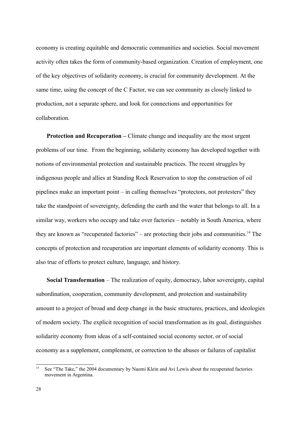economy is creating equitable and democratic communities and societies. Social movement activity often takes the form of community-based organization. Creation of employment, one of the key objectives of solidarity economy, is crucial for community development. At the same time, using the concept of the C Factor, we can see community as closely linked to production, not a separate sphere, and look for connections and opportunities for collaboration.

**Protection and Recuperation – Climate change and inequality are the most urgent** problems of our time. From the beginning, solidarity economy has developed together with notions of environmental protection and sustainable practices. The recent struggles by indigenous people and allies at Standing Rock Reservation to stop the construction of oil pipelines make an important point – in calling themselves "protectors, not protesters" they take the standpoint of sovereignty, defending the earth and the water that belongs to all. In a similar way, workers who occupy and take over factories – notably in South America, where they are known as "recuperated factories" – are protecting their jobs and communities.<sup>[14](#page-28-0)</sup> The concepts of protection and recuperation are important elements of solidarity economy. This is also true of efforts to protect culture, language, and history.

**Social Transformation** – The realization of equity, democracy, labor sovereignty, capital subordination, cooperation, community development, and protection and sustainability amount to a project of broad and deep change in the basic structures, practices, and ideologies of modern society. The explicit recognition of social transformation as its goal, distinguishes solidarity economy from ideas of a self-contained social economy sector, or of social economy as a supplement, complement, or correction to the abuses or failures of capitalist

<span id="page-28-0"></span><sup>&</sup>lt;sup>14</sup> See "The Take," the 2004 documentary by Naomi Klein and Avi Lewis about the recuperated factories movement in Argentina.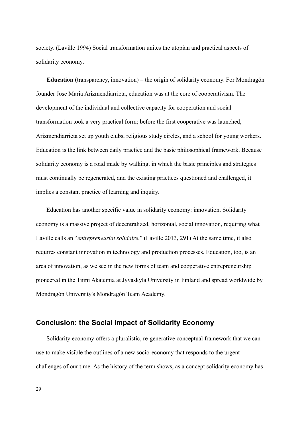society. (Laville 1994) Social transformation unites the utopian and practical aspects of solidarity economy.

**Education** (transparency, innovation) – the origin of solidarity economy. For Mondragón founder Jose Maria Arizmendiarrieta, education was at the core of cooperativism. The development of the individual and collective capacity for cooperation and social transformation took a very practical form; before the first cooperative was launched, Arizmendiarrieta set up youth clubs, religious study circles, and a school for young workers. Education is the link between daily practice and the basic philosophical framework. Because solidarity economy is a road made by walking, in which the basic principles and strategies must continually be regenerated, and the existing practices questioned and challenged, it implies a constant practice of learning and inquiry.

Education has another specific value in solidarity economy: innovation. Solidarity economy is a massive project of decentralized, horizontal, social innovation, requiring what Laville calls an "*entrepreneuriat solidaire*." (Laville 2013, 291) At the same time, it also requires constant innovation in technology and production processes. Education, too, is an area of innovation, as we see in the new forms of team and cooperative entrepreneurship pioneered in the Tiimi Akatemia at Jyvaskyla University in Finland and spread worldwide by Mondragón University's Mondragón Team Academy.

## **Conclusion: the Social Impact of Solidarity Economy**

Solidarity economy offers a pluralistic, re-generative conceptual framework that we can use to make visible the outlines of a new socio-economy that responds to the urgent challenges of our time. As the history of the term shows, as a concept solidarity economy has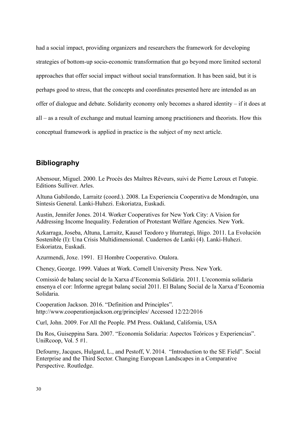had a social impact, providing organizers and researchers the framework for developing strategies of bottom-up socio-economic transformation that go beyond more limited sectoral approaches that offer social impact without social transformation. It has been said, but it is perhaps good to stress, that the concepts and coordinates presented here are intended as an offer of dialogue and debate. Solidarity economy only becomes a shared identity – if it does at all – as a result of exchange and mutual learning among practitioners and theorists. How this conceptual framework is applied in practice is the subject of my next article.

# **Bibliography**

Abensour, Miguel. 2000. Le Procès des Maîtres Rêveurs, suivi de Pierre Leroux et l'utopie. Editions Sulliver. Arles.

Altuna Gabilondo, Larraitz (coord.). 2008. La Experiencia Cooperativa de Mondragón, una Síntesis General. Lanki-Huhezi. Eskoriatza, Euskadi.

Austin, Jennifer Jones. 2014. Worker Cooperatives for New York City: A Vision for Addressing Income Inequality. Federation of Protestant Welfare Agencies. New York.

Azkarraga, Joseba, Altuna, Larraitz, Kausel Teodoro y Iñurrategi, Iñigo. 2011. La Evolución Sostenible (I): Una Crisis Multidimensional. Cuadernos de Lanki (4). Lanki-Huhezi. Eskoriatza, Euskadi.

Azurmendi, Joxe. 1991. El Hombre Cooperativo. Otalora.

Cheney, George. 1999. Values at Work. Cornell University Press. New York.

Comissió de balanç social de la Xarxa d'Economia Solidària. 2011. L'economia solidaria ensenya el cor: Informe agregat balanç social 2011. El Balanç Social de la Xarxa d'Economia Solidaria.

Cooperation Jackson. 2016. "Definition and Principles". <http://www.cooperationjackson.org/principles/>Accessed 12/22/2016

Curl, John. 2009. For All the People. PM Press. Oakland, California, USA

Da Ros, Guiseppina Sara. 2007. "Economía Solidaria: Aspectos Teóricos y Experiencias". UniRcoop, Vol. 5 #1.

Defourny, Jacques, Hulgard, L., and Pestoff, V. 2014. "Introduction to the SE Field". Social Enterprise and the Third Sector. Changing European Landscapes in a Comparative Perspective. Routledge.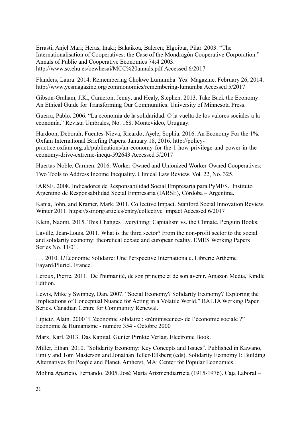Errasti, Anjel Mari; Heras, Iñaki; Bakaikoa, Baleren; Elgoibar, Pilar. 2003. "The Internationalisation of Cooperatives: the Case of the Mondragón Cooperative Corporation." Annals of Public and Cooperative Economics 74:4 2003. <http://www.sc.ehu.es/oewhesai/MCC%20annals.pdf>Accessed 6/2017

Flanders, Laura. 2014. Remembering Chokwe Lumumba. Yes! Magazine. February 26, 2014. <http://www.yesmagazine.org/commonomics/remembering-lumumba>Accessed 5/2017

Gibson-Graham, J.K., Cameron, Jenny, and Healy, Stephen. 2013. Take Back the Economy: An Ethical Guide for Transforming Our Communities. University of Minnesota Press.

Guerra, Pablo. 2006. "La economía de la solidaridad. O la vuelta de los valores sociales a la economía." Revista Umbrales, No. 168. Montevideo, Uruguay.

Hardoon, Deborah; Fuentes-Nieva, Ricardo; Ayele, Sophia. 2016. An Economy For the 1%. Oxfam International Briefing Papers. January 18, 2016. [http://policy](http://policy-practice.oxfam.org.uk/publications/an-economy-for-the-1-how-privilege-and-power-in-the-economy-drive-extreme-inequ-592643)[practice.oxfam.org.uk/publications/an-economy-for-the-1-how-privilege-and-power-in-the](http://policy-practice.oxfam.org.uk/publications/an-economy-for-the-1-how-privilege-and-power-in-the-economy-drive-extreme-inequ-592643)[economy-drive-extreme-inequ-592643](http://policy-practice.oxfam.org.uk/publications/an-economy-for-the-1-how-privilege-and-power-in-the-economy-drive-extreme-inequ-592643) Accessed 5/2017

Huertas-Noble, Carmen. 2016. Worker-Owned and Unionized Worker-Owned Cooperatives: Two Tools to Address Income Inequality. Clinical Law Review. Vol. 22, No. 325.

IARSE. 2008. Indicadores de Responsabilidad Social Empresaria para PyMES. Instituto Argentino de Responsabilidad Social Empresaria (IARSE), Córdoba – Argentina.

Kania, John, and Kramer, Mark. 2011. Collective Impact. Stanford Social Innovation Review. Winter 2011. [https://ssir.org/articles/entry/collective\\_impact](https://ssir.org/articles/entry/collective_impact) Accessed 6/2017

Klein, Naomi. 2015. This Changes Everything: Capitalism vs. the Climate. Penguin Books.

Laville, Jean-Louis. 2011. What is the third sector? From the non-profit sector to the social and solidarity economy: theoretical debate and european reality. EMES Working Papers Series No. 11/01.

…. 2010. L'Économie Solidaire: Une Perspective Internationale. Librerie Artheme Fayard/Pluriel. France.

Leroux, Pierre. 2011. De l'humanité, de son principe et de son avenir. Amazon Media, Kindle **Edition** 

Lewis, Mike y Swinney, Dan. 2007. "Social Economy? Solidarity Economy? Exploring the Implications of Conceptual Nuance for Acting in a Volatile World." BALTA Working Paper Series. Canadian Centre for Community Renewal.

Lipietz, Alain. 2000 "L'économie solidaire : «réminiscence» de l'économie sociale ?" Economie & Humanisme - numéro 354 - Octobre 2000

Marx, Karl. 2013. Das Kapital. Gunter Pirnkte Verlag. Electronic Book.

Miller, Ethan. 2010. "Solidarity Economy: Key Concepts and Issues". Published in Kawano, Emily and Tom Masterson and Jonathan Teller-Ellsberg (eds). Solidarity Economy I: Building Alternatives for People and Planet. Amherst, MA: Center for Popular Economics.

Molina Aparicio, Fernando. 2005. José María Arizmendiarrieta (1915-1976). Caja Laboral –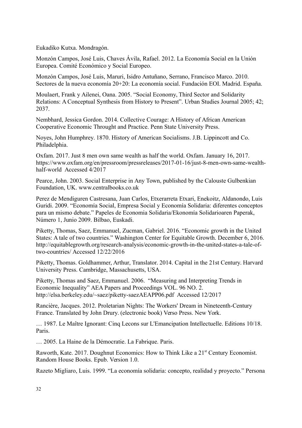Eukadiko Kutxa. Mondragón.

Monzón Campos, José Luis, Chaves Ávila, Rafael. 2012. La Economía Social en la Unión Europea. Comité Económico y Social Europeo.

Monzón Campos, José Luis, Maruri, Isidro Antuñano, Serrano, Francisco Marco. 2010. Sectores de la nueva economía 20+20: La economía social. Fundación EOI. Madrid. España.

Moulaert, Frank y Ailenei, Oana. 2005. "Social Economy, Third Sector and Solidarity Relations: A Conceptual Synthesis from History to Present". Urban Studies Journal 2005; 42; 2037.

Nembhard, Jessica Gordon. 2014. Collective Courage: A History of African American Cooperative Economic Throught and Practice. Penn State University Press.

Noyes, John Humphrey. 1870. History of American Socialisms. J.B. Lippincott and Co. Philadelphia.

Oxfam. 2017. Just 8 men own same wealth as half the world. Oxfam. January 16, 2017. [https://www.oxfam.org/en/pressroom/pressreleases/2017-01-16/just-8-men-own-same-wealth](https://www.oxfam.org/en/pressroom/pressreleases/2017-01-16/just-8-men-own-same-wealth-half-world)[half-world](https://www.oxfam.org/en/pressroom/pressreleases/2017-01-16/just-8-men-own-same-wealth-half-world) Accessed 4/2017

Pearce, John. 2003. Social Enterprise in Any Town, published by the Calouste Gulbenkian Foundation, UK. www.centralbooks.co.uk

Perez de Mendiguren Castresana, Juan Carlos, Etxerarreta Etxari, Enekoitz, Aldanondo, Luis Guridi. 2009. "Economía Social, Empresa Social y Economía Solidaria: diferentes conceptos para un mismo debate." Papeles de Economia Solidaria/Ekonomía Solidarioaren Paperak, Número 1, Junio 2009. Bilbao, Euskadi.

Piketty, Thomas, Saez, Emmanuel, Zucman, Gabriel. 2016. "Economic growth in the United States: A tale of two countries." Washington Center for Equitable Growth. December 6, 2016. [http://equitablegrowth.org/research-analysis/economic-growth-in-the-united-states-a-tale-of](http://equitablegrowth.org/research-analysis/economic-growth-in-the-united-states-a-tale-of-two-countries/)[two-countries/](http://equitablegrowth.org/research-analysis/economic-growth-in-the-united-states-a-tale-of-two-countries/) Accessed 12/22/2016

Piketty, Thomas. Goldhammer, Arthur, Translator. 2014. Capital in the 21st Century. Harvard University Press. Cambridge, Massachusetts, USA.

Piketty, Thomas and Saez, Emmanuel. 2006. "Measuring and Interpreting Trends in Economic Inequality" AEA Papers and Proceedings VOL. 96 NO. 2. <http://elsa.berkeley.edu/~saez/piketty-saezAEAPP06.pdf>Accessed 12/2017

Rancière, Jacques. 2012. Proletarian Nights: The Workers' Dream in Nineteenth-Century France. Translated by John Drury. (electronic book) Verso Press. New York.

… 1987. Le Maître Ignorant: Cinq Lecons sur L'Emancipation Intellectuelle. Editions 10/18. Paris.

… 2005. La Haine de la Démocratie. La Fabrique. Paris.

Raworth, Kate. 2017. Doughnut Economics: How to Think Like a 21<sup>st</sup> Century Economist. Random House Books. Epub. Version 1.0.

Razeto Migliaro, Luis. 1999. "La economía solidaria: concepto, realidad y proyecto." Persona